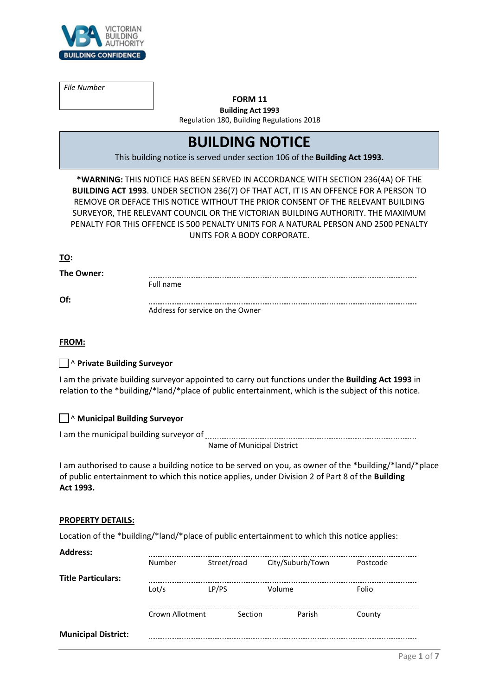

*File Number*

# **FORM 11 Building Act 1993**

Regulation 180, Building Regulations 2018

# **BUILDING NOTICE**

This building notice is served under section 106 of the **Building Act 1993.**

**\*WARNING:** THIS NOTICE HAS BEEN SERVED IN ACCORDANCE WITH SECTION 236(4A) OF THE **BUILDING ACT 1993**. UNDER SECTION 236(7) OF THAT ACT, IT IS AN OFFENCE FOR A PERSON TO REMOVE OR DEFACE THIS NOTICE WITHOUT THE PRIOR CONSENT OF THE RELEVANT BUILDING SURVEYOR, THE RELEVANT COUNCIL OR THE VICTORIAN BUILDING AUTHORITY. THE MAXIMUM PENALTY FOR THIS OFFENCE IS 500 PENALTY UNITS FOR A NATURAL PERSON AND 2500 PENALTY UNITS FOR A BODY CORPORATE.

# **TO:**

**The Owner:** 

| The Owner: 1 |                                  |  |
|--------------|----------------------------------|--|
|              | Full name                        |  |
| Of:          |                                  |  |
|              | Address for service on the Owner |  |

#### **FROM:**

# ☐ ^ **Private Building Surveyor**

I am the private building surveyor appointed to carry out functions under the **Building Act 1993** in relation to the \*building/\*land/\*place of public entertainment, which is the subject of this notice.

# ☐ ^ **Municipal Building Surveyor**

I am the municipal building surveyor of

Name of Municipal District

I am authorised to cause a building notice to be served on you, as owner of the \*building/\*land/\*place of public entertainment to which this notice applies, under Division 2 of Part 8 of the **Building Act 1993.**

#### **PROPERTY DETAILS:**

Location of the \*building/\*land/\*place of public entertainment to which this notice applies:

| <b>Address:</b>            |                 |             |                  |          |
|----------------------------|-----------------|-------------|------------------|----------|
|                            | Number          | Street/road | City/Suburb/Town | Postcode |
| <b>Title Particulars:</b>  |                 |             |                  |          |
|                            | Lot/s           | LP/PS       | Volume           | Folio    |
|                            | Crown Allotment | Section     | Parish           | County   |
| <b>Municipal District:</b> |                 |             |                  |          |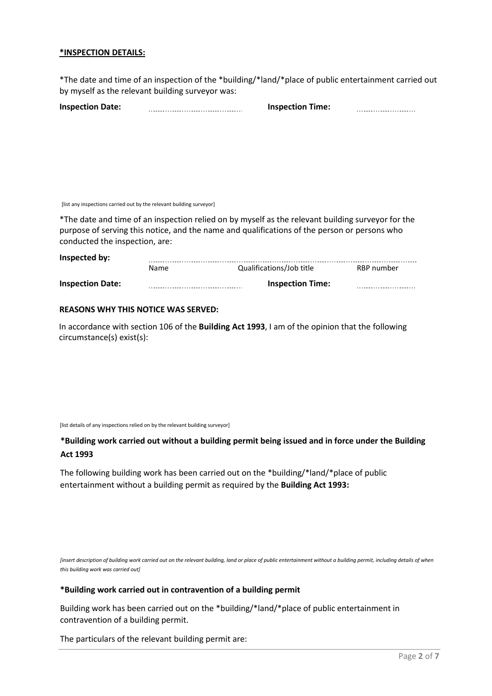#### **\*INSPECTION DETAILS:**

\*The date and time of an inspection of the \*building/\*land/\*place of public entertainment carried out by myself as the relevant building surveyor was:

| <b>Inspection Date:</b> |  |
|-------------------------|--|
|                         |  |

**Inspection Date: Inspection Time:**

[list any inspections carried out by the relevant building surveyor]

\*The date and time of an inspection relied on by myself as the relevant building surveyor for the purpose of serving this notice, and the name and qualifications of the person or persons who conducted the inspection, are:

| Inspected by:           |      |                          |            |
|-------------------------|------|--------------------------|------------|
|                         | Name | Qualifications/Job title | RBP number |
| <b>Inspection Date:</b> |      | <b>Inspection Time:</b>  |            |

#### **REASONS WHY THIS NOTICE WAS SERVED:**

In accordance with section 106 of the **Building Act 1993**, I am of the opinion that the following circumstance(s) exist(s):

[list details of any inspections relied on by the relevant building surveyor]

**\*Building work carried out without a building permit being issued and in force under the Building Act 1993**

The following building work has been carried out on the \*building/\*land/\*place of public entertainment without a building permit as required by the **Building Act 1993:**

*[insert description of building work carried out on the relevant building, land or place of public entertainment without a building permit, including details of when this building work was carried out]*

#### **\*Building work carried out in contravention of a building permit**

Building work has been carried out on the \*building/\*land/\*place of public entertainment in contravention of a building permit.

The particulars of the relevant building permit are: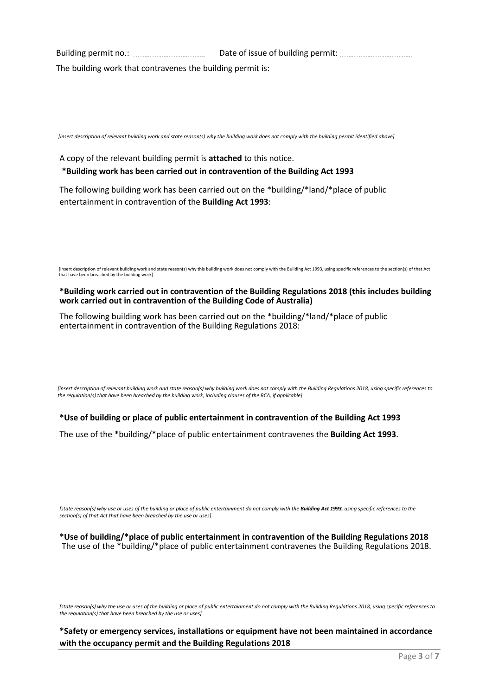Building permit no.: Date of issue of building permit: The building work that contravenes the building permit is:

*[insert description of relevant building work and state reason(s) why the building work does not comply with the building permit identified above]* 

A copy of the relevant building permit is **attached** to this notice.

**\*Building work has been carried out in contravention of the Building Act 1993**

The following building work has been carried out on the \*building/\*land/\*place of public entertainment in contravention of the **Building Act 1993**:

[insert description of relevant building work and state reason(s) why this building work does not comply with the Building Act 1993, using specific references to the section(s) of that Act that have been breached by the building work]

#### **\*Building work carried out in contravention of the Building Regulations 2018 (this includes building work carried out in contravention of the Building Code of Australia)**

The following building work has been carried out on the \*building/\*land/\*place of public entertainment in contravention of the Building Regulations 2018:

*[insert description of relevant building work and state reason(s) why building work does not comply with the Building Regulations 2018, using specific references to the regulation(s) that have been breached by the building work, including clauses of the BCA, if applicable]* 

**\*Use of building or place of public entertainment in contravention of the Building Act 1993**

The use of the \*building/\*place of public entertainment contravenes the **Building Act 1993**.

*[state reason(s) why use or uses of the building or place of public entertainment do not comply with the Building Act 1993, using specific references to the section(s) of that Act that have been breached by the use or uses]* 

**\*Use of building/\*place of public entertainment in contravention of the Building Regulations 2018** The use of the \*building/\*place of public entertainment contravenes the Building Regulations 2018.

*[state reason(s) why the use or uses of the building or place of public entertainment do not comply with the Building Regulations 2018, using specific references to the regulation(s) that have been breached by the use or uses]*

**\*Safety or emergency services, installations or equipment have not been maintained in accordance with the occupancy permit and the Building Regulations 2018**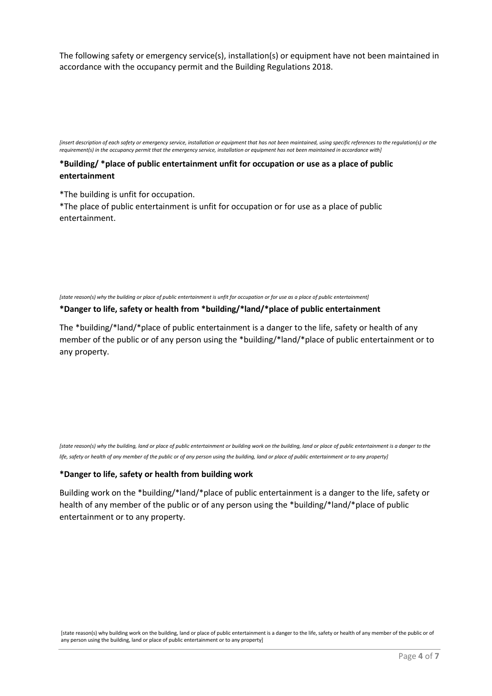The following safety or emergency service(s), installation(s) or equipment have not been maintained in accordance with the occupancy permit and the Building Regulations 2018.

*[insert description of each safety or emergency service, installation or equipment that has not been maintained, using specific references to the regulation(s) or the requirement(s) in the occupancy permit that the emergency service, installation or equipment has not been maintained in accordance with]*

# **\*Building/ \*place of public entertainment unfit for occupation or use as a place of public entertainment**

\*The building is unfit for occupation.

\*The place of public entertainment is unfit for occupation or for use as a place of public entertainment.

*[state reason(s) why the building or place of public entertainment is unfit for occupation or for use as a place of public entertainment]*

#### **\*Danger to life, safety or health from \*building/\*land/\*place of public entertainment**

The \*building/\*land/\*place of public entertainment is a danger to the life, safety or health of any member of the public or of any person using the \*building/\*land/\*place of public entertainment or to any property.

*[state reason(s) why the building, land or place of public entertainment or building work on the building, land or place of public entertainment is a danger to the life, safety or health of any member of the public or of any person using the building, land or place of public entertainment or to any property]*

# **\*Danger to life, safety or health from building work**

Building work on the \*building/\*land/\*place of public entertainment is a danger to the life, safety or health of any member of the public or of any person using the \*building/\*land/\*place of public entertainment or to any property.

[state reason(s) why building work on the building, land or place of public entertainment is a danger to the life, safety or health of any member of the public or of any person using the building, land or place of public entertainment or to any property]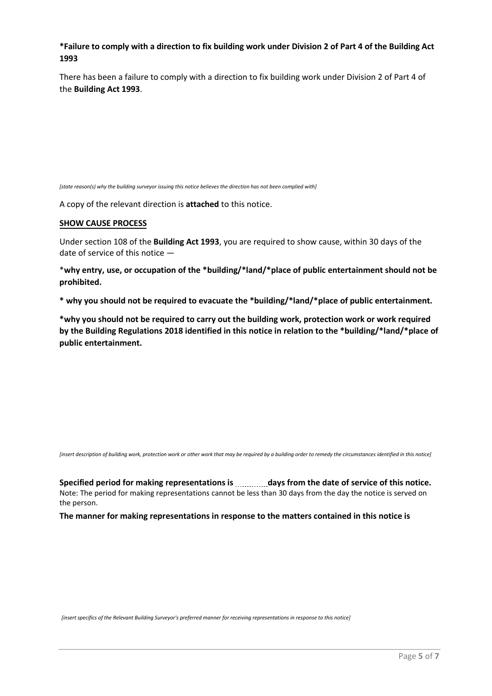# **\*Failure to comply with a direction to fix building work under Division 2 of Part 4 of the Building Act 1993**

There has been a failure to comply with a direction to fix building work under Division 2 of Part 4 of the **Building Act 1993**.

*[state reason(s) why the building surveyor issuing this notice believes the direction has not been complied with]* 

A copy of the relevant direction is **attached** to this notice.

#### **SHOW CAUSE PROCESS**

Under section 108 of the **Building Act 1993**, you are required to show cause, within 30 days of the date of service of this notice —

\***why entry, use, or occupation of the \*building/\*land/\*place of public entertainment should not be prohibited.**

**\* why you should not be required to evacuate the \*building/\*land/\*place of public entertainment.**

**\*why you should not be required to carry out the building work, protection work or work required by the Building Regulations 2018 identified in this notice in relation to the \*building/\*land/\*place of public entertainment.**

*[insert description of building work, protection work or other work that may be required by a building order to remedy the circumstances identified in this notice]* 

**Specified period for making representations is days from the date of service of this notice.** Note: The period for making representations cannot be less than 30 days from the day the notice is served on the person.

**The manner for making representations in response to the matters contained in this notice is**

*[insert specifics of the Relevant Building Surveyor's preferred manner for receiving representations in response to this notice]*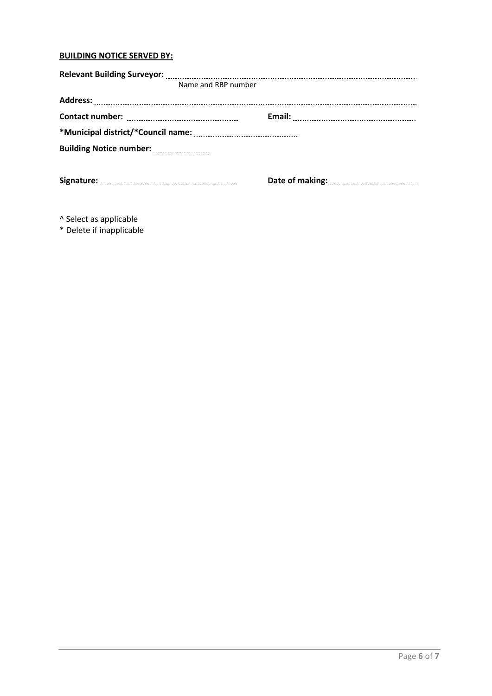# **BUILDING NOTICE SERVED BY:**

| Name and RBP number |  |  |  |  |  |
|---------------------|--|--|--|--|--|
|                     |  |  |  |  |  |
|                     |  |  |  |  |  |
|                     |  |  |  |  |  |
|                     |  |  |  |  |  |
|                     |  |  |  |  |  |
|                     |  |  |  |  |  |
|                     |  |  |  |  |  |
|                     |  |  |  |  |  |

^ Select as applicable

\* Delete if inapplicable